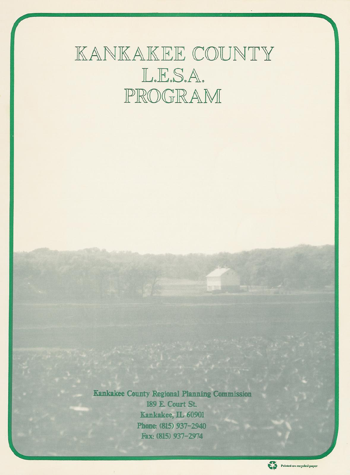# KANKAKEE COUNTY L.E.S.A. PROGRAM

**Kankakee County Regional Planning Commission** 189 E. Court St. Kankakee, IL 60901 Phone: (815) 937-2940 Fax: (815) 937-2974

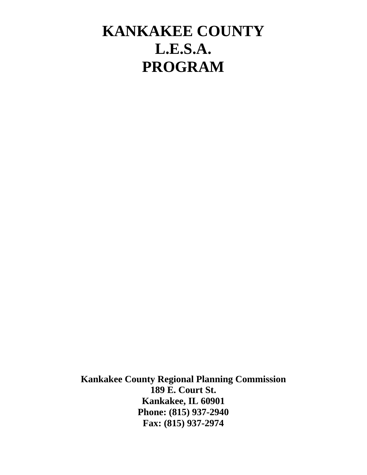## **KANKAKEE COUNTY L.E.S.A. PROGRAM**

**Kankakee County Regional Planning Commission 189 E. Court St. Kankakee, IL 60901 Phone: (815) 937-2940 Fax: (815) 937-2974**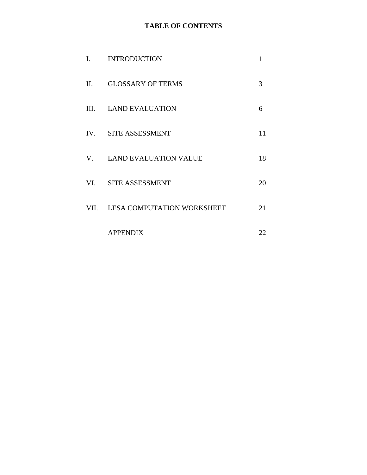## **TABLE OF CONTENTS**

| I.      | <b>INTRODUCTION</b>             | 1  |
|---------|---------------------------------|----|
| $\Pi$ . | <b>GLOSSARY OF TERMS</b>        | 3  |
|         | III. LAND EVALUATION            | 6  |
|         | IV. SITE ASSESSMENT             | 11 |
|         | V. LAND EVALUATION VALUE        | 18 |
|         | VI. SITE ASSESSMENT             | 20 |
|         | VII. LESA COMPUTATION WORKSHEET | 21 |
|         | <b>APPENDIX</b>                 | 22 |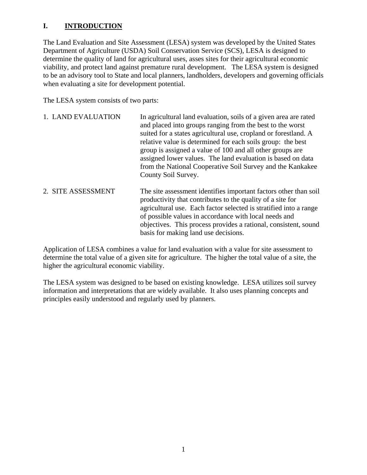## **I. INTRODUCTION**

The Land Evaluation and Site Assessment (LESA) system was developed by the United States Department of Agriculture (USDA) Soil Conservation Service (SCS), LESA is designed to determine the quality of land for agricultural uses, asses sites for their agricultural economic viability, and protect land against premature rural development. The LESA system is designed to be an advisory tool to State and local planners, landholders, developers and governing officials when evaluating a site for development potential.

The LESA system consists of two parts:

| 1. LAND EVALUATION | In agricultural land evaluation, soils of a given area are rated<br>and placed into groups ranging from the best to the worst<br>suited for a states agricultural use, cropland or forestland. A<br>relative value is determined for each soils group: the best<br>group is assigned a value of 100 and all other groups are<br>assigned lower values. The land evaluation is based on data<br>from the National Cooperative Soil Survey and the Kankakee<br>County Soil Survey. |
|--------------------|----------------------------------------------------------------------------------------------------------------------------------------------------------------------------------------------------------------------------------------------------------------------------------------------------------------------------------------------------------------------------------------------------------------------------------------------------------------------------------|
| 2. SITE ASSESSMENT | The site assessment identifies important factors other than soil<br>productivity that contributes to the quality of a site for<br>agricultural use. Each factor selected is stratified into a range<br>of possible values in accordance with local needs and                                                                                                                                                                                                                     |

Application of LESA combines a value for land evaluation with a value for site assessment to determine the total value of a given site for agriculture. The higher the total value of a site, the higher the agricultural economic viability.

basis for making land use decisions.

objectives. This process provides a rational, consistent, sound

The LESA system was designed to be based on existing knowledge. LESA utilizes soil survey information and interpretations that are widely available. It also uses planning concepts and principles easily understood and regularly used by planners.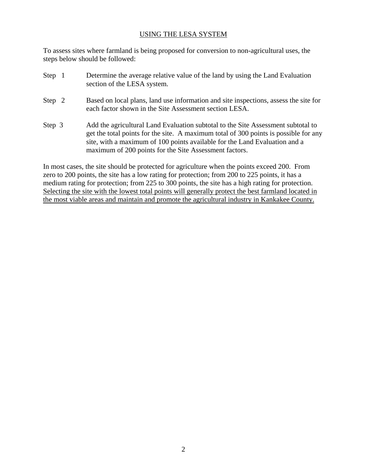#### USING THE LESA SYSTEM

To assess sites where farmland is being proposed for conversion to non-agricultural uses, the steps below should be followed:

Step 1 Determine the average relative value of the land by using the Land Evaluation section of the LESA system. Step 2 Based on local plans, land use information and site inspections, assess the site for each factor shown in the Site Assessment section LESA. Step 3 Add the agricultural Land Evaluation subtotal to the Site Assessment subtotal to get the total points for the site. A maximum total of 300 points is possible for any site, with a maximum of 100 points available for the Land Evaluation and a

In most cases, the site should be protected for agriculture when the points exceed 200. From zero to 200 points, the site has a low rating for protection; from 200 to 225 points, it has a medium rating for protection; from 225 to 300 points, the site has a high rating for protection. Selecting the site with the lowest total points will generally protect the best farmland located in the most viable areas and maintain and promote the agricultural industry in Kankakee County.

maximum of 200 points for the Site Assessment factors.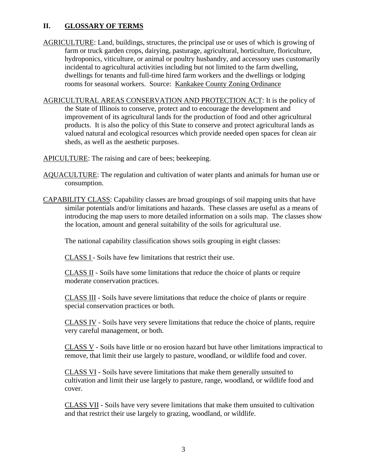## **II. GLOSSARY OF TERMS**

- AGRICULTURE: Land, buildings, structures, the principal use or uses of which is growing of farm or truck garden crops, dairying, pasturage, agricultural, horticulture, floriculture, hydroponics, viticulture, or animal or poultry husbandry, and accessory uses customarily incidental to agricultural activities including but not limited to the farm dwelling, dwellings for tenants and full-time hired farm workers and the dwellings or lodging rooms for seasonal workers. Source: Kankakee County Zoning Ordinance
- AGRICULTURAL AREAS CONSERVATION AND PROTECTION ACT: It is the policy of the State of Illinois to conserve, protect and to encourage the development and improvement of its agricultural lands for the production of food and other agricultural products. It is also the policy of this State to conserve and protect agricultural lands as valued natural and ecological resources which provide needed open spaces for clean air sheds, as well as the aesthetic purposes.
- APICULTURE: The raising and care of bees; beekeeping.
- AQUACULTURE: The regulation and cultivation of water plants and animals for human use or consumption.
- CAPABILITY CLASS: Capability classes are broad groupings of soil mapping units that have similar potentials and/or limitations and hazards. These classes are useful as a means of introducing the map users to more detailed information on a soils map. The classes show the location, amount and general suitability of the soils for agricultural use.

The national capability classification shows soils grouping in eight classes:

CLASS I - Soils have few limitations that restrict their use.

CLASS II - Soils have some limitations that reduce the choice of plants or require moderate conservation practices.

CLASS III - Soils have severe limitations that reduce the choice of plants or require special conservation practices or both.

CLASS IV - Soils have very severe limitations that reduce the choice of plants, require very careful management, or both.

CLASS V - Soils have little or no erosion hazard but have other limitations impractical to remove, that limit their use largely to pasture, woodland, or wildlife food and cover.

CLASS VI - Soils have severe limitations that make them generally unsuited to cultivation and limit their use largely to pasture, range, woodland, or wildlife food and cover.

CLASS VII - Soils have very severe limitations that make them unsuited to cultivation and that restrict their use largely to grazing, woodland, or wildlife.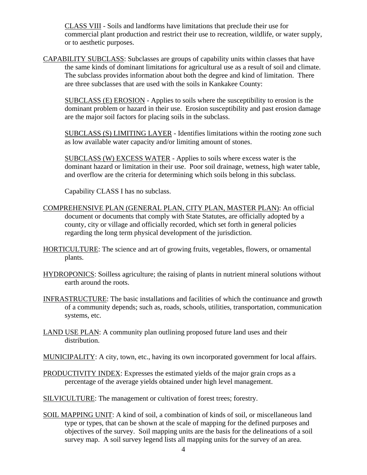CLASS VIII - Soils and landforms have limitations that preclude their use for commercial plant production and restrict their use to recreation, wildlife, or water supply, or to aesthetic purposes.

CAPABILITY SUBCLASS: Subclasses are groups of capability units within classes that have the same kinds of dominant limitations for agricultural use as a result of soil and climate. The subclass provides information about both the degree and kind of limitation. There are three subclasses that are used with the soils in Kankakee County:

SUBCLASS (E) EROSION - Applies to soils where the susceptibility to erosion is the dominant problem or hazard in their use. Erosion susceptibility and past erosion damage are the major soil factors for placing soils in the subclass.

SUBCLASS (S) LIMITING LAYER - Identifies limitations within the rooting zone such as low available water capacity and/or limiting amount of stones.

SUBCLASS (W) EXCESS WATER - Applies to soils where excess water is the dominant hazard or limitation in their use. Poor soil drainage, wetness, high water table, and overflow are the criteria for determining which soils belong in this subclass.

Capability CLASS I has no subclass.

- COMPREHENSIVE PLAN (GENERAL PLAN, CITY PLAN, MASTER PLAN): An official document or documents that comply with State Statutes, are officially adopted by a county, city or village and officially recorded, which set forth in general policies regarding the long term physical development of the jurisdiction.
- HORTICULTURE: The science and art of growing fruits, vegetables, flowers, or ornamental plants.
- HYDROPONICS: Soilless agriculture; the raising of plants in nutrient mineral solutions without earth around the roots.
- INFRASTRUCTURE: The basic installations and facilities of which the continuance and growth of a community depends; such as, roads, schools, utilities, transportation, communication systems, etc.
- LAND USE PLAN: A community plan outlining proposed future land uses and their distribution.
- MUNICIPALITY: A city, town, etc., having its own incorporated government for local affairs.
- PRODUCTIVITY INDEX: Expresses the estimated yields of the major grain crops as a percentage of the average yields obtained under high level management.
- SILVICULTURE: The management or cultivation of forest trees; forestry.
- SOIL MAPPING UNIT: A kind of soil, a combination of kinds of soil, or miscellaneous land type or types, that can be shown at the scale of mapping for the defined purposes and objectives of the survey. Soil mapping units are the basis for the delineations of a soil survey map. A soil survey legend lists all mapping units for the survey of an area.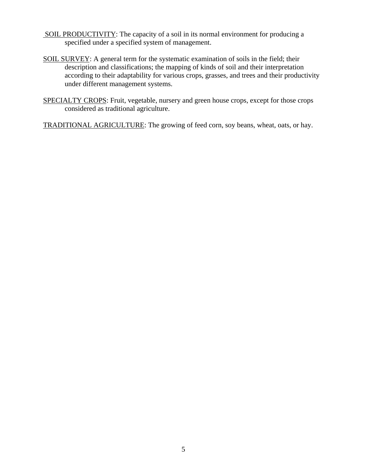- SOIL PRODUCTIVITY: The capacity of a soil in its normal environment for producing a specified under a specified system of management.
- SOIL SURVEY: A general term for the systematic examination of soils in the field; their description and classifications; the mapping of kinds of soil and their interpretation according to their adaptability for various crops, grasses, and trees and their productivity under different management systems.
- SPECIALTY CROPS: Fruit, vegetable, nursery and green house crops, except for those crops considered as traditional agriculture.

TRADITIONAL AGRICULTURE: The growing of feed corn, soy beans, wheat, oats, or hay.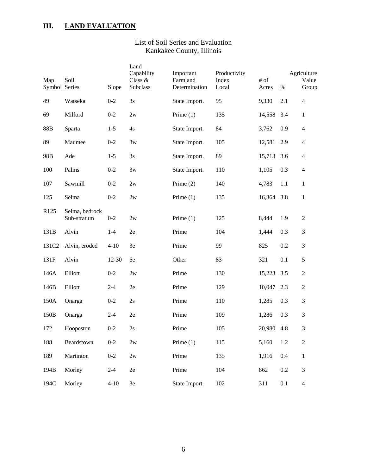## **III. LAND EVALUATION**

## List of Soil Series and Evaluation Kankakee County, Illinois

| Map<br><b>Symbol Series</b> | Soil                          | Slope     | Land<br>Capability<br>Class &<br><b>Subclass</b> | Important<br>Farmland<br>Determination | Productivity<br>Index<br>Local | $\#$ of<br>Acres | $\frac{0}{0}$ | Agriculture<br>Value<br>Group |
|-----------------------------|-------------------------------|-----------|--------------------------------------------------|----------------------------------------|--------------------------------|------------------|---------------|-------------------------------|
| 49                          | Watseka                       | $0 - 2$   | 3s                                               | State Import.                          | 95                             | 9,330            | 2.1           | $\overline{4}$                |
| 69                          | Milford                       | $0 - 2$   | 2w                                               | Prime $(1)$                            | 135                            | 14,558           | 3.4           | $\mathbf{1}$                  |
| 88B                         | Sparta                        | $1 - 5$   | 4s                                               | State Import.                          | 84                             | 3,762            | 0.9           | $\overline{\mathbf{4}}$       |
| 89                          | Maumee                        | $0 - 2$   | 3w                                               | State Import.                          | 105                            | 12,581           | 2.9           | $\overline{4}$                |
| 98B                         | Ade                           | $1 - 5$   | 3s                                               | State Import.                          | 89                             | 15,713           | 3.6           | $\overline{4}$                |
| 100                         | Palms                         | $0 - 2$   | 3w                                               | State Import.                          | 110                            | 1,105            | 0.3           | $\overline{\mathbf{4}}$       |
| 107                         | Sawmill                       | $0 - 2$   | 2w                                               | Prime $(2)$                            | 140                            | 4,783            | 1.1           | $\mathbf{1}$                  |
| 125                         | Selma                         | $0 - 2$   | 2w                                               | Prime $(1)$                            | 135                            | 16,364           | 3.8           | $\mathbf{1}$                  |
| R125                        | Selma, bedrock<br>Sub-stratum | $0 - 2$   | 2w                                               | Prime $(1)$                            | 125                            | 8,444            | 1.9           | $\mathbf{2}$                  |
| 131B                        | Alvin                         | $1 - 4$   | 2e                                               | Prime                                  | 104                            | 1,444            | 0.3           | 3                             |
| 131C <sub>2</sub>           | Alvin, eroded                 | $4 - 10$  | 3e                                               | Prime                                  | 99                             | 825              | 0.2           | 3                             |
| 131F                        | Alvin                         | $12 - 30$ | 6e                                               | Other                                  | 83                             | 321              | 0.1           | 5                             |
| 146A                        | Elliott                       | $0 - 2$   | 2w                                               | Prime                                  | 130                            | 15,223           | 3.5           | $\overline{2}$                |
| 146B                        | Elliott                       | $2 - 4$   | 2e                                               | Prime                                  | 129                            | 10,047           | 2.3           | $\mathbf{2}$                  |
| 150A                        | Onarga                        | $0 - 2$   | 2s                                               | Prime                                  | 110                            | 1,285            | 0.3           | 3                             |
| 150B                        | Onarga                        | $2 - 4$   | 2e                                               | Prime                                  | 109                            | 1,286            | 0.3           | 3                             |
| 172                         | Hoopeston                     | $0 - 2$   | 2s                                               | Prime                                  | 105                            | 20,980           | 4.8           | 3                             |
| 188                         | Beardstown                    | $0-2$     | 2w                                               | Prime $(1)$                            | 115                            | 5,160            | 1.2           | $\boldsymbol{2}$              |
| 189                         | Martinton                     | $0 - 2$   | 2w                                               | Prime                                  | 135                            | 1,916            | 0.4           | $\mathbf{1}$                  |
| 194B                        | Morley                        | $2 - 4$   | $2\mathrm{e}$                                    | Prime                                  | 104                            | 862              | 0.2           | $\mathfrak{Z}$                |
| 194C                        | Morley                        | $4 - 10$  | $3\mathrm{e}$                                    | State Import.                          | 102                            | 311              | 0.1           | $\overline{\mathcal{L}}$      |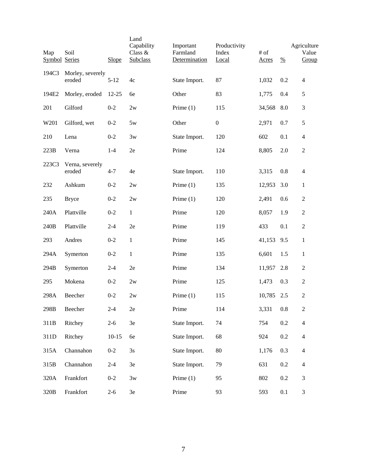| Map<br><b>Symbol Series</b> | Soil                       | Slope     | Land<br>Capability<br>Class &<br><b>Subclass</b> | Important<br>Farmland<br>Determination | Productivity<br>Index<br>Local | $#$ of<br>Acres | $\frac{0}{0}$ | Agriculture<br>Value<br>Group |
|-----------------------------|----------------------------|-----------|--------------------------------------------------|----------------------------------------|--------------------------------|-----------------|---------------|-------------------------------|
| 194C3                       | Morley, severely<br>eroded | $5 - 12$  | 4c                                               | State Import.                          | 87                             | 1,032           | 0.2           | 4                             |
| 194E2                       | Morley, eroded             | $12 - 25$ | 6e                                               | Other                                  | 83                             | 1,775           | 0.4           | $\mathfrak s$                 |
| 201                         | Gilford                    | $0 - 2$   | 2w                                               | Prime $(1)$                            | 115                            | 34,568          | 8.0           | 3                             |
| W201                        | Gilford, wet               | $0 - 2$   | 5w                                               | Other                                  | $\boldsymbol{0}$               | 2,971           | 0.7           | 5                             |
| 210                         | Lena                       | $0 - 2$   | 3w                                               | State Import.                          | 120                            | 602             | 0.1           | $\overline{4}$                |
| 223B                        | Verna                      | $1 - 4$   | 2e                                               | Prime                                  | 124                            | 8,805           | 2.0           | $\boldsymbol{2}$              |
| 223C3                       | Verna, severely<br>eroded  | $4 - 7$   | 4e                                               | State Import.                          | 110                            | 3,315           | 0.8           | 4                             |
| 232                         | Ashkum                     | $0 - 2$   | 2w                                               | Prime $(1)$                            | 135                            | 12,953          | 3.0           | 1                             |
| 235                         | <b>Bryce</b>               | $0 - 2$   | 2w                                               | Prime $(1)$                            | 120                            | 2,491           | 0.6           | $\mathbf{2}$                  |
| 240A                        | Plattville                 | $0 - 2$   | $\mathbf{1}$                                     | Prime                                  | 120                            | 8,057           | 1.9           | $\overline{2}$                |
| 240B                        | Plattville                 | $2 - 4$   | 2e                                               | Prime                                  | 119                            | 433             | 0.1           | $\overline{2}$                |
| 293                         | Andres                     | $0 - 2$   | $\mathbf{1}$                                     | Prime                                  | 145                            | 41,153          | 9.5           | $\mathbf{1}$                  |
| 294A                        | Symerton                   | $0 - 2$   | $\mathbf{1}$                                     | Prime                                  | 135                            | 6,601           | 1.5           | $\mathbf{1}$                  |
| 294B                        | Symerton                   | $2 - 4$   | 2e                                               | Prime                                  | 134                            | 11,957          | 2.8           | $\mathbf{2}$                  |
| 295                         | Mokena                     | $0 - 2$   | 2w                                               | Prime                                  | 125                            | 1,473           | 0.3           | $\boldsymbol{2}$              |
| 298A                        | Beecher                    | $0 - 2$   | 2w                                               | Prime $(1)$                            | 115                            | 10,785          | 2.5           | $\overline{2}$                |
| 298B                        | Beecher                    | $2 - 4$   | 2e                                               | Prime                                  | 114                            | 3,331           | $0.8\,$       | $\mathbf{2}$                  |
| 311B                        | Ritchey                    | $2 - 6$   | 3e                                               | State Import.                          | 74                             | 754             | $0.2\,$       | $\overline{4}$                |
| 311D                        | Ritchey                    | $10 - 15$ | 6e                                               | State Import.                          | 68                             | 924             | 0.2           | $\overline{4}$                |
| 315A                        | Channahon                  | $0 - 2$   | 3s                                               | State Import.                          | 80                             | 1,176           | 0.3           | $\overline{4}$                |
| 315B                        | Channahon                  | $2 - 4$   | 3e                                               | State Import.                          | 79                             | 631             | 0.2           | $\overline{4}$                |
| 320A                        | Frankfort                  | $0 - 2$   | 3w                                               | Prime $(1)$                            | 95                             | 802             | 0.2           | 3                             |
| 320B                        | Frankfort                  | $2 - 6$   | $3\mathrm{e}$                                    | Prime                                  | 93                             | 593             | 0.1           | $\mathfrak{Z}$                |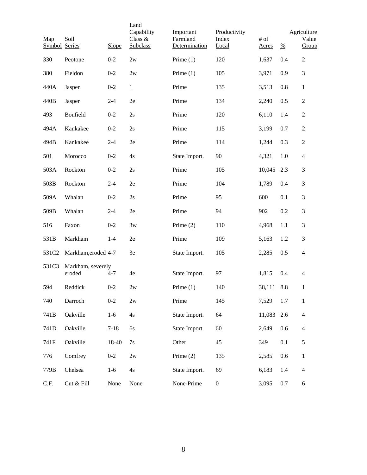| Map<br>Symbol Series | Soil                        | Slope    | Land<br>Capability<br>Class &<br>Subclass | Important<br>Farmland<br>Determination | Productivity<br>Index<br>Local | # of<br><b>Acres</b> | $\frac{0}{0}$ | Agriculture<br>Value<br>Group |
|----------------------|-----------------------------|----------|-------------------------------------------|----------------------------------------|--------------------------------|----------------------|---------------|-------------------------------|
| 330                  | Peotone                     | $0 - 2$  | 2w                                        | Prime $(1)$                            | 120                            | 1,637                | 0.4           | $\overline{c}$                |
| 380                  | Fieldon                     | $0 - 2$  | 2w                                        | Prime $(1)$                            | 105                            | 3,971                | 0.9           | 3                             |
| 440A                 | Jasper                      | $0 - 2$  | $\mathbf{1}$                              | Prime                                  | 135                            | 3,513                | 0.8           | $\mathbf{1}$                  |
| 440B                 | Jasper                      | $2 - 4$  | 2e                                        | Prime                                  | 134                            | 2,240                | 0.5           | $\overline{2}$                |
| 493                  | Bonfield                    | $0 - 2$  | 2s                                        | Prime                                  | 120                            | 6,110                | 1.4           | $\overline{c}$                |
| 494A                 | Kankakee                    | $0 - 2$  | 2s                                        | Prime                                  | 115                            | 3,199                | 0.7           | $\overline{2}$                |
| 494B                 | Kankakee                    | $2 - 4$  | 2e                                        | Prime                                  | 114                            | 1,244                | 0.3           | $\sqrt{2}$                    |
| 501                  | Morocco                     | $0 - 2$  | 4s                                        | State Import.                          | 90                             | 4,321                | 1.0           | $\overline{4}$                |
| 503A                 | Rockton                     | $0 - 2$  | 2s                                        | Prime                                  | 105                            | 10,045               | 2.3           | 3                             |
| 503B                 | Rockton                     | $2 - 4$  | 2e                                        | Prime                                  | 104                            | 1,789                | 0.4           | 3                             |
| 509A                 | Whalan                      | $0 - 2$  | 2s                                        | Prime                                  | 95                             | 600                  | 0.1           | 3                             |
| 509B                 | Whalan                      | $2 - 4$  | 2e                                        | Prime                                  | 94                             | 902                  | 0.2           | 3                             |
| 516                  | Faxon                       | $0 - 2$  | 3w                                        | Prime $(2)$                            | 110                            | 4,968                | 1.1           | 3                             |
| 531B                 | Markham                     | $1 - 4$  | 2e                                        | Prime                                  | 109                            | 5,163                | 1.2           | 3                             |
| 531C2                | Markham, eroded 4-7         |          | 3e                                        | State Import.                          | 105                            | 2,285                | 0.5           | $\overline{4}$                |
| 531C3                | Markham, severely<br>eroded | $4 - 7$  | 4e                                        | State Import.                          | 97                             | 1,815                | 0.4           | $\overline{4}$                |
| 594                  | Reddick                     | $0 - 2$  | 2w                                        | Prime $(1)$                            | 140                            | 38,111               | 8.8           | 1                             |
| 740                  | Darroch                     | $0 - 2$  | 2w                                        | Prime                                  | 145                            | 7,529                | 1.7           | $\mathbf{1}$                  |
| 741B                 | Oakville                    | $1-6$    | 4s                                        | State Import.                          | 64                             | 11,083               | 2.6           | $\overline{\mathcal{L}}$      |
| 741D                 | Oakville                    | $7 - 18$ | 6s                                        | State Import.                          | 60                             | 2,649                | 0.6           | $\overline{4}$                |
| 741F                 | Oakville                    | 18-40    | 7s                                        | Other                                  | 45                             | 349                  | 0.1           | 5                             |
| 776                  | Comfrey                     | $0-2$    | 2w                                        | Prime $(2)$                            | 135                            | 2,585                | 0.6           | $\mathbf{1}$                  |
| 779B                 | Chelsea                     | $1-6$    | 4s                                        | State Import.                          | 69                             | 6,183                | 1.4           | $\overline{4}$                |
| C.F.                 | Cut & Fill                  | None     | None                                      | None-Prime                             | $\boldsymbol{0}$               | 3,095                | 0.7           | 6                             |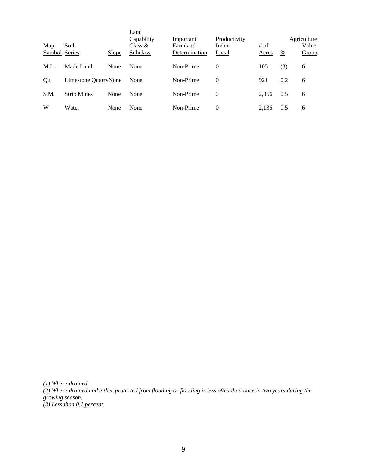| Map<br>Symbol Series | Soil                 | Slope | Land<br>Capability<br>Class $&$<br><b>Subclass</b> | Important<br>Farmland<br>Determination | Productivity<br>Index<br>Local | # of<br>Acres | $\frac{0}{0}$ | Agriculture<br>Value<br>Group |
|----------------------|----------------------|-------|----------------------------------------------------|----------------------------------------|--------------------------------|---------------|---------------|-------------------------------|
| M.L.                 | Made Land            | None  | None                                               | Non-Prime                              | $\theta$                       | 105           | (3)           | 6                             |
| Qu                   | Limestone QuarryNone |       | None                                               | Non-Prime                              | $\Omega$                       | 921           | 0.2           | 6                             |
| S.M.                 | <b>Strip Mines</b>   | None  | None                                               | Non-Prime                              | $\theta$                       | 2.056         | 0.5           | 6                             |
| W                    | Water                | None  | None                                               | Non-Prime                              | $\Omega$                       | 2.136         | 0.5           | 6                             |

*(1) Where drained.*

*(2) Where drained and either protected from flooding or flooding is less often than once in two years during the growing season. (3) Less than 0.1 percent.*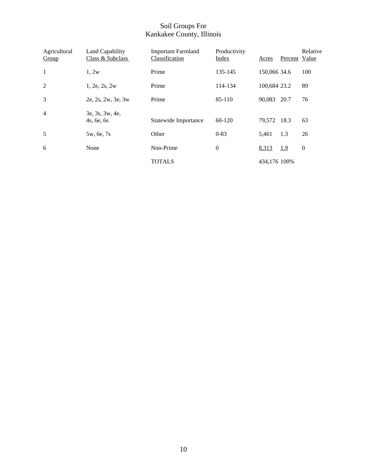#### Soil Groups For Kankakee County, Illinois

| Agricultural<br>Group | Land Capability<br>Class & Subclass | <b>Important Farmland</b><br>Classification | Productivity<br>Index | Acres        | Percent Value | Relative         |
|-----------------------|-------------------------------------|---------------------------------------------|-----------------------|--------------|---------------|------------------|
| 1                     | 1,2w                                | Prime                                       | 135-145               | 150,066 34.6 |               | 100              |
| 2                     | 1, 2e, 2s, 2w                       | Prime                                       | 114-134               | 100,684 23.2 |               | 89               |
| 3                     | 2e, 2s, 2w, 3e, 3w                  | Prime                                       | 85-110                | 90,083       | 20.7          | 76               |
| $\overline{4}$        | 3e, 3s, 3w, 4e,<br>4s, 6e, 6s       | Statewide Importance                        | 60-120                | 79,572 18.3  |               | 63               |
| 5                     | 5w, 6e, 7s                          | Other                                       | $0 - 83$              | 5,461        | 1.3           | 26               |
| 6                     | None                                | Non-Prime                                   | $\boldsymbol{0}$      | 8,313        | 1.9           | $\boldsymbol{0}$ |
|                       |                                     | <b>TOTALS</b>                               |                       | 434,176 100% |               |                  |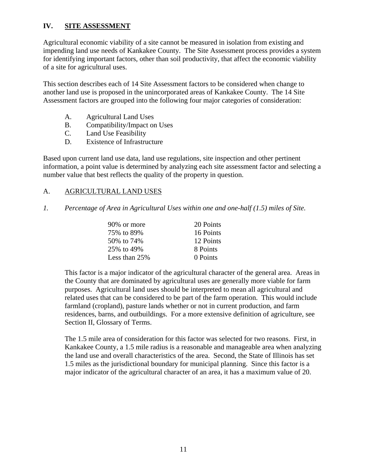## **IV. SITE ASSESSMENT**

Agricultural economic viability of a site cannot be measured in isolation from existing and impending land use needs of Kankakee County. The Site Assessment process provides a system for identifying important factors, other than soil productivity, that affect the economic viability of a site for agricultural uses.

This section describes each of 14 Site Assessment factors to be considered when change to another land use is proposed in the unincorporated areas of Kankakee County. The 14 Site Assessment factors are grouped into the following four major categories of consideration:

- A. Agricultural Land Uses
- B. Compatibility/Impact on Uses
- C. Land Use Feasibility
- D. Existence of Infrastructure

Based upon current land use data, land use regulations, site inspection and other pertinent information, a point value is determined by analyzing each site assessment factor and selecting a number value that best reflects the quality of the property in question.

#### A. AGRICULTURAL LAND USES

*1. Percentage of Area in Agricultural Uses within one and one-half (1.5) miles of Site.*

| 90% or more   | 20 Points |
|---------------|-----------|
| 75% to 89%    | 16 Points |
| 50\% to 74\%  | 12 Points |
| 25% to 49%    | 8 Points  |
| Less than 25% | 0 Points  |

This factor is a major indicator of the agricultural character of the general area. Areas in the County that are dominated by agricultural uses are generally more viable for farm purposes. Agricultural land uses should be interpreted to mean all agricultural and related uses that can be considered to be part of the farm operation. This would include farmland (cropland), pasture lands whether or not in current production, and farm residences, barns, and outbuildings. For a more extensive definition of agriculture, see Section II, Glossary of Terms.

The 1.5 mile area of consideration for this factor was selected for two reasons. First, in Kankakee County, a 1.5 mile radius is a reasonable and manageable area when analyzing the land use and overall characteristics of the area. Second, the State of Illinois has set 1.5 miles as the jurisdictional boundary for municipal planning. Since this factor is a major indicator of the agricultural character of an area, it has a maximum value of 20.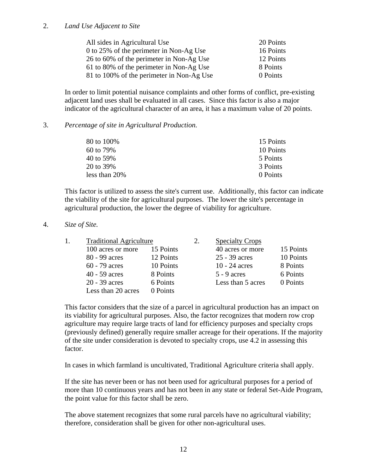#### 2. *Land Use Adjacent to Site*

| All sides in Agricultural Use             | 20 Points |
|-------------------------------------------|-----------|
| 0 to 25% of the perimeter in Non-Ag Use   | 16 Points |
| 26 to 60% of the perimeter in Non-Ag Use  | 12 Points |
| 61 to 80% of the perimeter in Non-Ag Use  | 8 Points  |
| 81 to 100% of the perimeter in Non-Ag Use | 0 Points  |

In order to limit potential nuisance complaints and other forms of conflict, pre-existing adjacent land uses shall be evaluated in all cases. Since this factor is also a major indicator of the agricultural character of an area, it has a maximum value of 20 points.

#### 3. *Percentage of site in Agricultural Production.*

| 80 to 100\%   | 15 Points |
|---------------|-----------|
| 60 to 79%     | 10 Points |
| 40 to 59%     | 5 Points  |
| 20 to 39%     | 3 Points  |
| less than 20% | 0 Points  |

This factor is utilized to assess the site's current use. Additionally, this factor can indicate the viability of the site for agricultural purposes. The lower the site's percentage in agricultural production, the lower the degree of viability for agriculture.

#### 4. *Size of Site.*

| <b>Traditional Agriculture</b> |           | 2. | <b>Specialty Crops</b> |           |
|--------------------------------|-----------|----|------------------------|-----------|
| 100 acres or more              | 15 Points |    | 40 acres or more       | 15 Points |
| 80 - 99 acres                  | 12 Points |    | 25 - 39 acres          | 10 Points |
| $60 - 79$ acres                | 10 Points |    | 10 - 24 $acres$        | 8 Points  |
| $40 - 59$ acres                | 8 Points  |    | $5 - 9$ acres          | 6 Points  |
| $20 - 39$ acres                | 6 Points  |    | Less than 5 acres      | 0 Points  |
| Less than 20 acres             | 0 Points  |    |                        |           |

This factor considers that the size of a parcel in agricultural production has an impact on its viability for agricultural purposes. Also, the factor recognizes that modern row crop agriculture may require large tracts of land for efficiency purposes and specialty crops (previously defined) generally require smaller acreage for their operations. If the majority of the site under consideration is devoted to specialty crops, use 4.2 in assessing this factor.

In cases in which farmland is uncultivated, Traditional Agriculture criteria shall apply.

If the site has never been or has not been used for agricultural purposes for a period of more than 10 continuous years and has not been in any state or federal Set-Aide Program, the point value for this factor shall be zero.

The above statement recognizes that some rural parcels have no agricultural viability; therefore, consideration shall be given for other non-agricultural uses.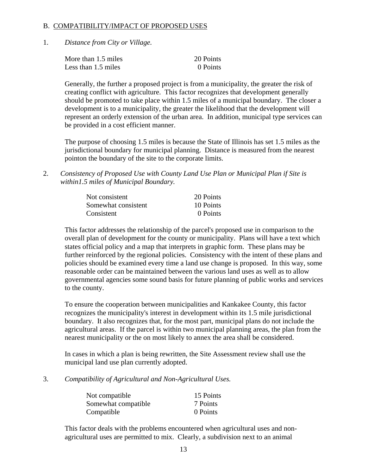#### B. COMPATIBILITY/IMPACT OF PROPOSED USES

1. *Distance from City or Village.*

| More than 1.5 miles | 20 Points |
|---------------------|-----------|
| Less than 1.5 miles | 0 Points  |

Generally, the further a proposed project is from a municipality, the greater the risk of creating conflict with agriculture. This factor recognizes that development generally should be promoted to take place within 1.5 miles of a municipal boundary. The closer a development is to a municipality, the greater the likelihood that the development will represent an orderly extension of the urban area. In addition, municipal type services can be provided in a cost efficient manner.

The purpose of choosing 1.5 miles is because the State of Illinois has set 1.5 miles as the jurisdictional boundary for municipal planning. Distance is measured from the nearest pointon the boundary of the site to the corporate limits.

2. *Consistency of Proposed Use with County Land Use Plan or Municipal Plan if Site is within1.5 miles of Municipal Boundary.*

| Not consistent      | 20 Points |
|---------------------|-----------|
| Somewhat consistent | 10 Points |
| Consistent          | 0 Points  |

This factor addresses the relationship of the parcel's proposed use in comparison to the overall plan of development for the county or municipality. Plans will have a text which states official policy and a map that interprets in graphic form. These plans may be further reinforced by the regional policies. Consistency with the intent of these plans and policies should be examined every time a land use change is proposed. In this way, some reasonable order can be maintained between the various land uses as well as to allow governmental agencies some sound basis for future planning of public works and services to the county.

To ensure the cooperation between municipalities and Kankakee County, this factor recognizes the municipality's interest in development within its 1.5 mile jurisdictional boundary. It also recognizes that, for the most part, municipal plans do not include the agricultural areas. If the parcel is within two municipal planning areas, the plan from the nearest municipality or the on most likely to annex the area shall be considered.

In cases in which a plan is being rewritten, the Site Assessment review shall use the municipal land use plan currently adopted.

3. *Compatibility of Agricultural and Non-Agricultural Uses.*

| Not compatible      | 15 Points |
|---------------------|-----------|
| Somewhat compatible | 7 Points  |
| Compatible          | 0 Points  |

This factor deals with the problems encountered when agricultural uses and nonagricultural uses are permitted to mix. Clearly, a subdivision next to an animal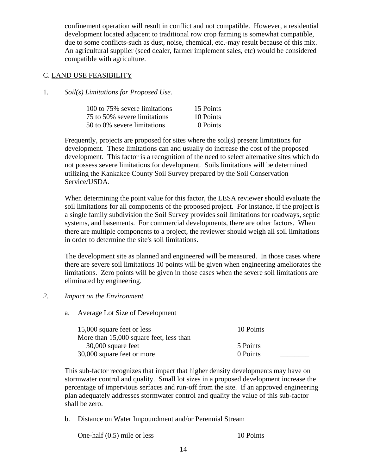confinement operation will result in conflict and not compatible. However, a residential development located adjacent to traditional row crop farming is somewhat compatible, due to some conflicts-such as dust, noise, chemical, etc.-may result because of this mix. An agricultural supplier (seed dealer, farmer implement sales, etc) would be considered compatible with agriculture.

#### C. LAND USE FEASIBILITY

#### 1. *Soil(s) Limitations for Proposed Use.*

| 100 to 75% severe limitations | 15 Points |
|-------------------------------|-----------|
| 75 to 50% severe limitations  | 10 Points |
| 50 to 0% severe limitations   | 0 Points  |

Frequently, projects are proposed for sites where the soil(s) present limitations for development. These limitations can and usually do increase the cost of the proposed development. This factor is a recognition of the need to select alternative sites which do not possess severe limitations for development. Soils limitations will be determined utilizing the Kankakee County Soil Survey prepared by the Soil Conservation Service/USDA.

When determining the point value for this factor, the LESA reviewer should evaluate the soil limitations for all components of the proposed project. For instance, if the project is a single family subdivision the Soil Survey provides soil limitations for roadways, septic systems, and basements. For commercial developments, there are other factors. When there are multiple components to a project, the reviewer should weigh all soil limitations in order to determine the site's soil limitations.

The development site as planned and engineered will be measured. In those cases where there are severe soil limitations 10 points will be given when engineering ameliorates the limitations. Zero points will be given in those cases when the severe soil limitations are eliminated by engineering.

#### *2. Impact on the Environment.*

a. Average Lot Size of Development

| 15,000 square feet or less              | 10 Points |
|-----------------------------------------|-----------|
| More than 15,000 square feet, less than |           |
| 30,000 square feet                      | 5 Points  |
| 30,000 square feet or more              | 0 Points  |

This sub-factor recognizes that impact that higher density developments may have on stormwater control and quality. Small lot sizes in a proposed development increase the percentage of impervious serfaces and run-off from the site. If an approved engineering plan adequately addresses stormwater control and quality the value of this sub-factor shall be zero.

b. Distance on Water Impoundment and/or Perennial Stream

One-half (0.5) mile or less 10 Points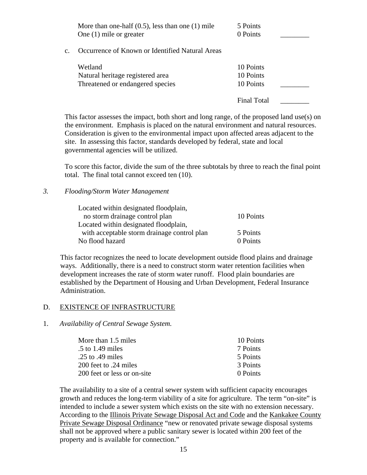|    | More than one-half $(0.5)$ , less than one $(1)$ mile<br>One $(1)$ mile or greater | 5 Points<br>0 Points                |  |
|----|------------------------------------------------------------------------------------|-------------------------------------|--|
| Ċ. | Occurrence of Known or Identified Natural Areas                                    |                                     |  |
|    | Wetland<br>Natural heritage registered area<br>Threatened or endangered species    | 10 Points<br>10 Points<br>10 Points |  |
|    |                                                                                    | Final Total                         |  |

This factor assesses the impact, both short and long range, of the proposed land use(s) on the environment. Emphasis is placed on the natural environment and natural resources. Consideration is given to the environmental impact upon affected areas adjacent to the site. In assessing this factor, standards developed by federal, state and local governmental agencies will be utilized.

To score this factor, divide the sum of the three subtotals by three to reach the final point total. The final total cannot exceed ten (10).

#### *3. Flooding/Storm Water Management*

| Located within designated floodplain,       |           |
|---------------------------------------------|-----------|
| no storm drainage control plan              | 10 Points |
| Located within designated floodplain,       |           |
| with acceptable storm drainage control plan | 5 Points  |
| No flood hazard                             | 0 Points  |

This factor recognizes the need to locate development outside flood plains and drainage ways. Additionally, there is a need to construct storm water retention facilities when development increases the rate of storm water runoff. Flood plain boundaries are established by the Department of Housing and Urban Development, Federal Insurance Administration.

#### D. EXISTENCE OF INFRASTRUCTURE

#### 1. *Availability of Central Sewage System.*

| More than 1.5 miles         | 10 Points |
|-----------------------------|-----------|
| $\frac{1}{2}$ to 1.49 miles | 7 Points  |
| .25 to .49 miles            | 5 Points  |
| 200 feet to .24 miles       | 3 Points  |
| 200 feet or less or on-site | 0 Points  |

The availability to a site of a central sewer system with sufficient capacity encourages growth and reduces the long-term viability of a site for agriculture. The term "on-site" is intended to include a sewer system which exists on the site with no extension necessary. According to the Illinois Private Sewage Disposal Act and Code and the Kankakee County Private Sewage Disposal Ordinance "new or renovated private sewage disposal systems shall not be approved where a public sanitary sewer is located within 200 feet of the property and is available for connection."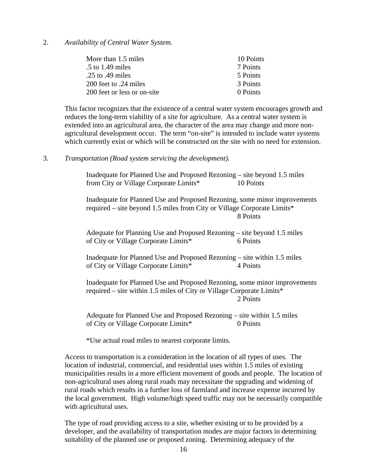#### 2. *Availability of Central Water System.*

| More than 1.5 miles         | 10 Points |
|-----------------------------|-----------|
| $\frac{1}{2}$ to 1.49 miles | 7 Points  |
| .25 to .49 miles            | 5 Points  |
| 200 feet to .24 miles       | 3 Points  |
| 200 feet or less or on-site | 0 Points  |

This factor recognizes that the existence of a central water system encourages growth and reduces the long-term viability of a site for agriculture. As a central water system is extended into an agricultural area, the character of the area may change and more nonagricultural development occur. The term "on-site" is intended to include water systems which currently exist or which will be constructed on the site with no need for extension.

#### 3. *Transportation (Road system servicing the development).*

Inadequate for Planned Use and Proposed Rezoning – site beyond 1.5 miles from City or Village Corporate Limits\* 10 Points

Inadequate for Planned Use and Proposed Rezoning, some minor improvements required – site beyond 1.5 miles from City or Village Corporate Limits\* 8 Points

Adequate for Planning Use and Proposed Rezoning – site beyond 1.5 miles of City or Village Corporate Limits\* 6 Points

Inadequate for Planned Use and Proposed Rezoning – site within 1.5 miles of City or Village Corporate Limits\* 4 Points

Inadequate for Planned Use and Proposed Rezoning, some minor improvements required – site within 1.5 miles of City or Village Corporate Limits\* 2 Points

Adequate for Planned Use and Proposed Rezoning – site within 1.5 miles of City or Village Corporate Limits\* 0 Points

\*Use actual road miles to nearest corporate limits.

Access to transportation is a consideration in the location of all types of uses. The location of industrial, commercial, and residential uses within 1.5 miles of existing municipalities results in a more efficient movement of goods and people. The location of non-agricultural uses along rural roads may necessitate the upgrading and widening of rural roads which results in a further loss of farmland and increase expense incurred by the local government. High volume/high speed traffic may not be necessarily compatible with agricultural uses.

The type of road providing access to a site, whether existing or to be provided by a developer, and the availability of transportation modes are major factors in determining suitability of the planned use or proposed zoning. Determining adequacy of the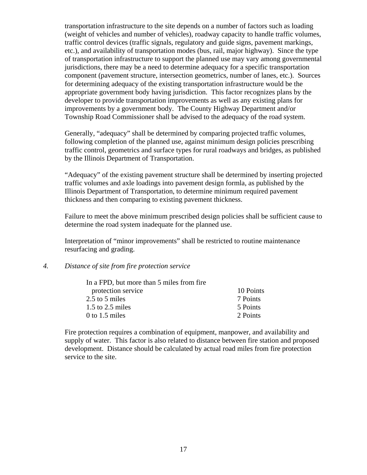transportation infrastructure to the site depends on a number of factors such as loading (weight of vehicles and number of vehicles), roadway capacity to handle traffic volumes, traffic control devices (traffic signals, regulatory and guide signs, pavement markings, etc.), and availability of transportation modes (bus, rail, major highway). Since the type of transportation infrastructure to support the planned use may vary among governmental jurisdictions, there may be a need to determine adequacy for a specific transportation component (pavement structure, intersection geometrics, number of lanes, etc.). Sources for determining adequacy of the existing transportation infrastructure would be the appropriate government body having jurisdiction. This factor recognizes plans by the developer to provide transportation improvements as well as any existing plans for improvements by a government body. The County Highway Department and/or Township Road Commissioner shall be advised to the adequacy of the road system.

Generally, "adequacy" shall be determined by comparing projected traffic volumes, following completion of the planned use, against minimum design policies prescribing traffic control, geometrics and surface types for rural roadways and bridges, as published by the Illinois Department of Transportation.

"Adequacy" of the existing pavement structure shall be determined by inserting projected traffic volumes and axle loadings into pavement design formla, as published by the Illinois Department of Transportation, to determine minimum required pavement thickness and then comparing to existing pavement thickness.

Failure to meet the above minimum prescribed design policies shall be sufficient cause to determine the road system inadequate for the planned use.

Interpretation of "minor improvements" shall be restricted to routine maintenance resurfacing and grading.

#### *4. Distance of site from fire protection service*

| In a FPD, but more than 5 miles from fire |           |
|-------------------------------------------|-----------|
| protection service                        | 10 Points |
| 2.5 to 5 miles                            | 7 Points  |
| $1.5$ to $2.5$ miles                      | 5 Points  |
| 0 to 1.5 miles                            | 2 Points  |
|                                           |           |

Fire protection requires a combination of equipment, manpower, and availability and supply of water. This factor is also related to distance between fire station and proposed development. Distance should be calculated by actual road miles from fire protection service to the site.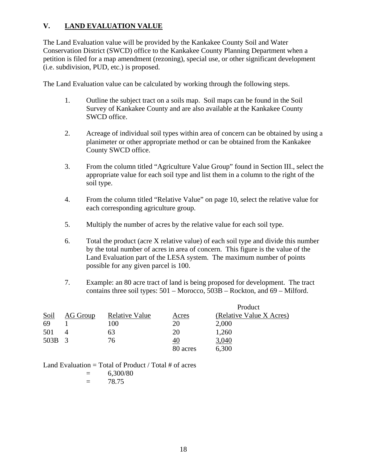## **V. LAND EVALUATION VALUE**

The Land Evaluation value will be provided by the Kankakee County Soil and Water Conservation District (SWCD) office to the Kankakee County Planning Department when a petition is filed for a map amendment (rezoning), special use, or other significant development (i.e. subdivision, PUD, etc.) is proposed.

The Land Evaluation value can be calculated by working through the following steps.

- 1. Outline the subject tract on a soils map. Soil maps can be found in the Soil Survey of Kankakee County and are also available at the Kankakee County SWCD office.
- 2. Acreage of individual soil types within area of concern can be obtained by using a planimeter or other appropriate method or can be obtained from the Kankakee County SWCD office.
- 3. From the column titled "Agriculture Value Group" found in Section III., select the appropriate value for each soil type and list them in a column to the right of the soil type.
- 4. From the column titled "Relative Value" on page 10, select the relative value for each corresponding agriculture group.
- 5. Multiply the number of acres by the relative value for each soil type.
- 6. Total the product (acre X relative value) of each soil type and divide this number by the total number of acres in area of concern. This figure is the value of the Land Evaluation part of the LESA system. The maximum number of points possible for any given parcel is 100.
- 7. Example: an 80 acre tract of land is being proposed for development. The tract contains three soil types: 501 – Morocco, 503B – Rockton, and 69 – Milford.

|             |          |                       |           | Product                  |
|-------------|----------|-----------------------|-----------|--------------------------|
| <u>Soil</u> | AG Group | <b>Relative Value</b> | Acres     | (Relative Value X Acres) |
| 69          |          | 100                   | 20        | 2,000                    |
| 501         |          | 63                    | 20        | 1,260                    |
| 503B 3      |          | 76                    | <u>40</u> | 3,040                    |
|             |          |                       | 80 acres  | 6,300                    |

Land Evaluation  $=$  Total of Product / Total  $#$  of acres

 $= 6,300/80$ 

 $= 78.75$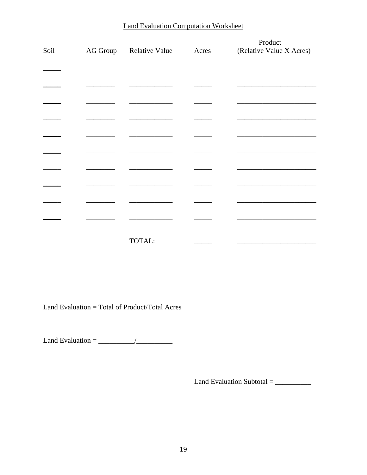## **Land Evaluation Computation Worksheet**

| Soil | <b>AG Group</b> | <b>Relative Value</b> | <b>Acres</b> | Product<br>(Relative Value X Acres) |
|------|-----------------|-----------------------|--------------|-------------------------------------|
|      |                 |                       |              |                                     |
|      |                 |                       |              |                                     |
|      |                 |                       |              |                                     |
|      |                 |                       |              |                                     |
|      |                 |                       |              |                                     |
|      |                 |                       |              |                                     |
|      |                 |                       |              |                                     |
|      |                 |                       |              |                                     |
|      |                 |                       |              |                                     |
|      |                 |                       |              |                                     |
|      |                 | TOTAL:                |              |                                     |

Land Evaluation = Total of Product/Total Acres

Land Evaluation =  $\frac{1}{\sqrt{1-\frac{1}{2}}}\frac{1}{\sqrt{1-\frac{1}{2}}}\frac{1}{\sqrt{1-\frac{1}{2}}}\frac{1}{\sqrt{1-\frac{1}{2}}}\frac{1}{\sqrt{1-\frac{1}{2}}}\frac{1}{\sqrt{1-\frac{1}{2}}}\frac{1}{\sqrt{1-\frac{1}{2}}}\frac{1}{\sqrt{1-\frac{1}{2}}}\frac{1}{\sqrt{1-\frac{1}{2}}}\frac{1}{\sqrt{1-\frac{1}{2}}}\frac{1}{\sqrt{1-\frac{1}{2}}}\frac{1}{\sqrt{1-\frac{1}{2}}}\frac{1}{\sqrt{1-\$ 

Land Evaluation Subtotal =  $\_\_$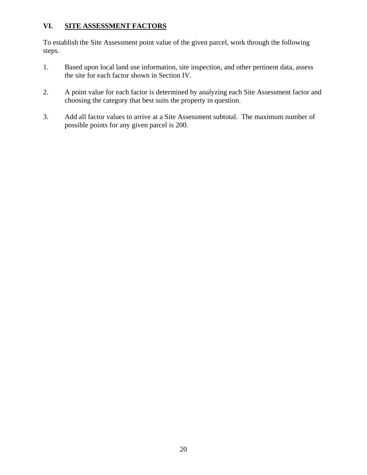## **VI. SITE ASSESSMENT FACTORS**

To establish the Site Assessment point value of the given parcel, work through the following steps.

- 1. Based upon local land use information, site inspection, and other pertinent data, assess the site for each factor shown in Section IV.
- 2. A point value for each factor is determined by analyzing each Site Assessment factor and choosing the category that best suits the property in question.
- 3. Add all factor values to arrive at a Site Assessment subtotal. The maximum number of possible points for any given parcel is 200.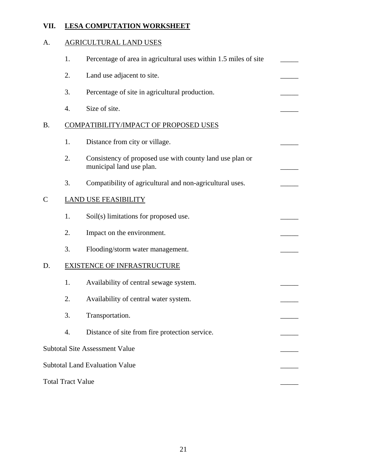## **VII. LESA COMPUTATION WORKSHEET**

## A. AGRICULTURAL LAND USES

|                    | 1.                       | Percentage of area in agricultural uses within 1.5 miles of site                     |  |
|--------------------|--------------------------|--------------------------------------------------------------------------------------|--|
|                    | 2.                       | Land use adjacent to site.                                                           |  |
|                    | 3.                       | Percentage of site in agricultural production.                                       |  |
|                    | 4.                       | Size of site.                                                                        |  |
| Β.                 |                          | COMPATIBILITY/IMPACT OF PROPOSED USES                                                |  |
|                    | 1.                       | Distance from city or village.                                                       |  |
|                    | 2.                       | Consistency of proposed use with county land use plan or<br>municipal land use plan. |  |
|                    | 3.                       | Compatibility of agricultural and non-agricultural uses.                             |  |
| $\overline{\rm C}$ |                          | <b>LAND USE FEASIBILITY</b>                                                          |  |
|                    | 1.                       | Soil(s) limitations for proposed use.                                                |  |
|                    | 2.                       | Impact on the environment.                                                           |  |
|                    | 3.                       | Flooding/storm water management.                                                     |  |
| D.                 |                          | <b>EXISTENCE OF INFRASTRUCTURE</b>                                                   |  |
|                    | 1.                       | Availability of central sewage system.                                               |  |
|                    | 2.                       | Availability of central water system.                                                |  |
|                    | 3.                       | Transportation.                                                                      |  |
|                    | 4.                       | Distance of site from fire protection service.                                       |  |
|                    |                          | <b>Subtotal Site Assessment Value</b>                                                |  |
|                    |                          | <b>Subtotal Land Evaluation Value</b>                                                |  |
|                    | <b>Total Tract Value</b> |                                                                                      |  |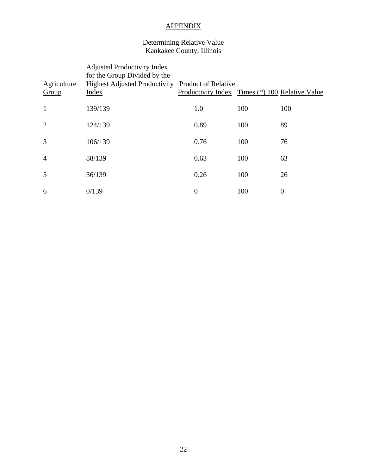## APPENDIX

#### Determining Relative Value Kankakee County, Illinois

| Agriculture<br>Group | <b>Adjusted Productivity Index</b><br>for the Group Divided by the<br>Highest Adjusted Productivity Product of Relative<br>Index | Productivity Index Times (*) 100 Relative Value |     |                |
|----------------------|----------------------------------------------------------------------------------------------------------------------------------|-------------------------------------------------|-----|----------------|
| $\mathbf{1}$         | 139/139                                                                                                                          | 1.0                                             | 100 | 100            |
| $\overline{2}$       | 124/139                                                                                                                          | 0.89                                            | 100 | 89             |
| 3                    | 106/139                                                                                                                          | 0.76                                            | 100 | 76             |
| $\overline{4}$       | 88/139                                                                                                                           | 0.63                                            | 100 | 63             |
| 5                    | 36/139                                                                                                                           | 0.26                                            | 100 | 26             |
| 6                    | 0/139                                                                                                                            | $\boldsymbol{0}$                                | 100 | $\overline{0}$ |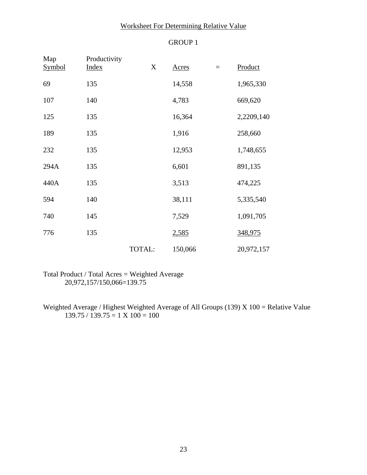## Worksheet For Determining Relative Value

## GROUP 1

| Map<br><b>Symbol</b> | Productivity<br><b>Index</b> | X      | Acres   | $\equiv$ | Product    |
|----------------------|------------------------------|--------|---------|----------|------------|
| 69                   | 135                          |        | 14,558  |          | 1,965,330  |
| 107                  | 140                          |        | 4,783   |          | 669,620    |
| 125                  | 135                          |        | 16,364  |          | 2,2209,140 |
| 189                  | 135                          |        | 1,916   |          | 258,660    |
| 232                  | 135                          |        | 12,953  |          | 1,748,655  |
| 294A                 | 135                          |        | 6,601   |          | 891,135    |
| 440A                 | 135                          |        | 3,513   |          | 474,225    |
| 594                  | 140                          |        | 38,111  |          | 5,335,540  |
| 740                  | 145                          |        | 7,529   |          | 1,091,705  |
| 776                  | 135                          |        | 2,585   |          | 348,975    |
|                      |                              | TOTAL: | 150,066 |          | 20,972,157 |

Total Product / Total Acres = Weighted Average 20,972,157/150,066=139.75

Weighted Average / Highest Weighted Average of All Groups (139) X 100 = Relative Value  $139.75 / 139.75 = 1 \times 100 = 100$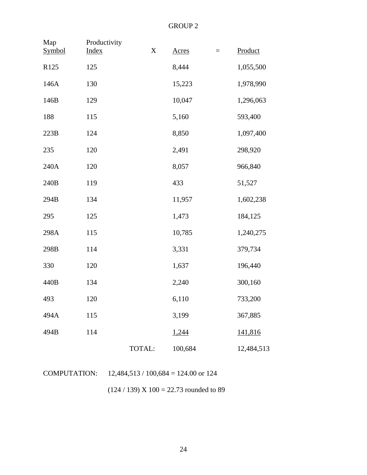| Map<br>Symbol | Productivity<br>Index | $\mathbf X$ | <b>Acres</b> | $=$ | Product    |
|---------------|-----------------------|-------------|--------------|-----|------------|
| R125          | 125                   |             | 8,444        |     | 1,055,500  |
| 146A          | 130                   |             | 15,223       |     | 1,978,990  |
| 146B          | 129                   |             | 10,047       |     | 1,296,063  |
| 188           | 115                   |             | 5,160        |     | 593,400    |
| 223B          | 124                   |             | 8,850        |     | 1,097,400  |
| 235           | 120                   |             | 2,491        |     | 298,920    |
| 240A          | 120                   |             | 8,057        |     | 966,840    |
| 240B          | 119                   |             | 433          |     | 51,527     |
| 294B          | 134                   |             | 11,957       |     | 1,602,238  |
| 295           | 125                   |             | 1,473        |     | 184,125    |
| 298A          | 115                   |             | 10,785       |     | 1,240,275  |
| 298B          | 114                   |             | 3,331        |     | 379,734    |
| 330           | 120                   |             | 1,637        |     | 196,440    |
| 440B          | 134                   |             | 2,240        |     | 300,160    |
| 493           | 120                   |             | 6,110        |     | 733,200    |
| 494A          | 115                   |             | 3,199        |     | 367,885    |
| 494B          | 114                   |             | 1,244        |     | 141,816    |
|               |                       | TOTAL:      | 100,684      |     | 12,484,513 |

|  | <b>COMPUTATION:</b> | $12,484,513 / 100,684 = 124.00$ or 124 |
|--|---------------------|----------------------------------------|
|--|---------------------|----------------------------------------|

 $(124 / 139) X 100 = 22.73$  rounded to 89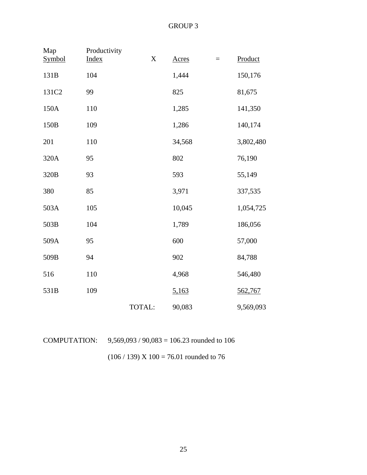| Map<br>Symbol | Productivity<br><b>Index</b> | $\mathbf X$ | <b>Acres</b> | $=$ | Product   |
|---------------|------------------------------|-------------|--------------|-----|-----------|
| 131B          | 104                          |             | 1,444        |     | 150,176   |
| 131C2         | 99                           |             | 825          |     | 81,675    |
| 150A          | 110                          |             | 1,285        |     | 141,350   |
| 150B          | 109                          |             | 1,286        |     | 140,174   |
| 201           | 110                          |             | 34,568       |     | 3,802,480 |
| 320A          | 95                           |             | 802          |     | 76,190    |
| 320B          | 93                           |             | 593          |     | 55,149    |
| 380           | 85                           |             | 3,971        |     | 337,535   |
| 503A          | 105                          |             | 10,045       |     | 1,054,725 |
| 503B          | 104                          |             | 1,789        |     | 186,056   |
| 509A          | 95                           |             | 600          |     | 57,000    |
| 509B          | 94                           |             | 902          |     | 84,788    |
| 516           | 110                          |             | 4,968        |     | 546,480   |
| 531B          | 109                          |             | 5,163        |     | 562,767   |
|               |                              | TOTAL:      | 90,083       |     | 9,569,093 |

| COMPUTATION: | $9,569,093 / 90,083 = 106.23$ rounded to 106 |
|--------------|----------------------------------------------|
|              | $(106 / 139)$ X $100 = 76.01$ rounded to 76  |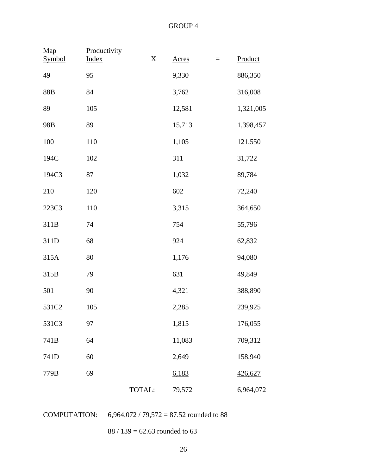| Map<br>Symbol | Productivity<br><b>Index</b> | X      | <b>Acres</b> | $\equiv$ | Product   |
|---------------|------------------------------|--------|--------------|----------|-----------|
| 49            | 95                           |        | 9,330        |          | 886,350   |
| 88B           | 84                           |        | 3,762        |          | 316,008   |
| 89            | 105                          |        | 12,581       |          | 1,321,005 |
| 98B           | 89                           |        | 15,713       |          | 1,398,457 |
| 100           | 110                          |        | 1,105        |          | 121,550   |
| 194C          | 102                          |        | 311          |          | 31,722    |
| 194C3         | 87                           |        | 1,032        |          | 89,784    |
| 210           | 120                          |        | 602          |          | 72,240    |
| 223C3         | 110                          |        | 3,315        |          | 364,650   |
| 311B          | 74                           |        | 754          |          | 55,796    |
| 311D          | 68                           |        | 924          |          | 62,832    |
| 315A          | 80                           |        | 1,176        |          | 94,080    |
| 315B          | 79                           |        | 631          |          | 49,849    |
| 501           | 90                           |        | 4,321        |          | 388,890   |
| 531C2         | 105                          |        | 2,285        |          | 239,925   |
| 531C3         | 97                           |        | 1,815        |          | 176,055   |
| 741B          | 64                           |        | 11,083       |          | 709,312   |
| 741D          | 60                           |        | 2,649        |          | 158,940   |
| 779B          | 69                           |        | 6,183        |          | 426,627   |
|               |                              | TOTAL: | 79,572       |          | 6,964,072 |

COMPUTATION: 6,964,072 / 79,572 = 87.52 rounded to 88

88 / 139 = 62.63 rounded to 63